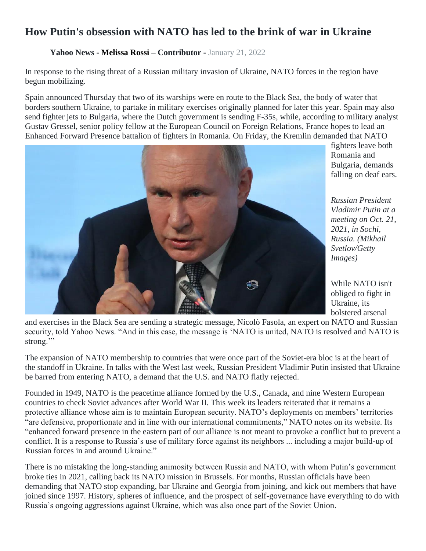## **How Putin's obsession with NATO has led to the brink of war in Ukraine**

## **Yahoo News - [Melissa Rossi](https://www.yahoo.com/author/melissa-rossi) – Contributor -** January 21, 2022

In response to the rising threat of a Russian military invasion of Ukraine, NATO forces in the region have begun mobilizing.

Spain announced Thursday that two of its warships were en route to the Black Sea, the body of water that borders southern Ukraine, to partake in military exercises originally planned for later this year. Spain may also send fighter jets to Bulgaria, where the Dutch government is sending F-35s, while, according to military analyst Gustav Gressel, senior policy fellow at the European Council on Foreign Relations, France hopes to lead an Enhanced Forward Presence battalion of fighters in Romania. On Friday, the Kremlin demanded that NATO



fighters leave both Romania and Bulgaria, demands falling on deaf ears.

*Russian President Vladimir Putin at a meeting on Oct. 21, 2021, in Sochi, Russia. (Mikhail Svetlov/Getty Images)*

While NATO isn't obliged to fight in Ukraine, its bolstered arsenal

and exercises in the Black Sea are sending a strategic message, Nicolò Fasola, an expert on NATO and Russian security, told Yahoo News. "And in this case, the message is 'NATO is united, NATO is resolved and NATO is strong."

The expansion of NATO membership to countries that were once part of the Soviet-era bloc is at the heart of the standoff in Ukraine. In talks with the West last week, Russian President Vladimir Putin insisted that Ukraine be barred from entering NATO, a demand that the U.S. and NATO flatly rejected.

Founded in 1949, NATO is the peacetime alliance formed by the U.S., Canada, and nine Western European countries to check Soviet advances after World War II. This week its leaders reiterated that it remains a protective alliance whose aim is to maintain European security. NATO's deployments on members' territories "are defensive, proportionate and in line with our international commitments," NATO notes on its website. Its "enhanced forward presence in the eastern part of our alliance is not meant to provoke a conflict but to prevent a conflict. It is a response to Russia's use of military force against its neighbors ... including a major build-up of Russian forces in and around Ukraine."

There is no mistaking the long-standing animosity between Russia and NATO, with whom Putin's government broke ties in 2021, calling back its NATO mission in Brussels. For months, Russian officials have been demanding that NATO stop expanding, bar Ukraine and Georgia from joining, and kick out members that have joined since 1997. History, spheres of influence, and the prospect of self-governance have everything to do with Russia's ongoing aggressions against Ukraine, which was also once part of the Soviet Union.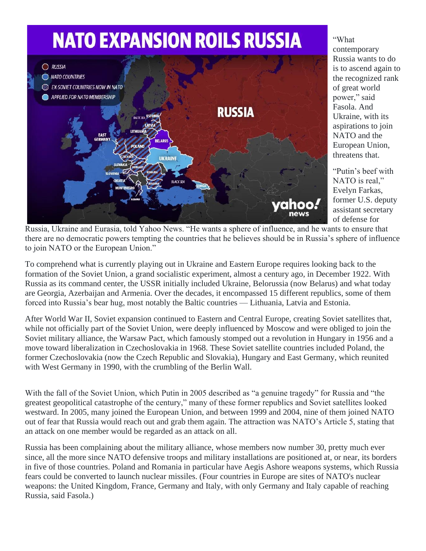

## "What contemporary Russia wants to do is to ascend again to the recognized rank of great world power," said Fasola. And Ukraine, with its aspirations to join NATO and the European Union, threatens that.

"Putin's beef with NATO is real," Evelyn Farkas, former U.S. deputy assistant secretary of defense for

Russia, Ukraine and Eurasia, told Yahoo News. "He wants a sphere of influence, and he wants to ensure that there are no democratic powers tempting the countries that he believes should be in Russia's sphere of influence to join NATO or the European Union."

To comprehend what is currently playing out in Ukraine and Eastern Europe requires looking back to the formation of the Soviet Union, a grand socialistic experiment, almost a century ago, in December 1922. With Russia as its command center, the USSR initially included Ukraine, Belorussia (now Belarus) and what today are Georgia, Azerbaijan and Armenia. Over the decades, it encompassed 15 different republics, some of them forced into Russia's bear hug, most notably the Baltic countries — Lithuania, Latvia and Estonia.

After World War II, Soviet expansion continued to Eastern and Central Europe, creating Soviet satellites that, while not officially part of the Soviet Union, were deeply influenced by Moscow and were obliged to join the Soviet military alliance, the Warsaw Pact, which famously stomped out a revolution in Hungary in 1956 and a move toward liberalization in Czechoslovakia in 1968. These Soviet satellite countries included Poland, the former Czechoslovakia (now the Czech Republic and Slovakia), Hungary and East Germany, which reunited with West Germany in 1990, with the crumbling of the Berlin Wall.

With the fall of the Soviet Union, which Putin in 2005 described as "a genuine tragedy" for Russia and "the greatest geopolitical catastrophe of the century," many of these former republics and Soviet satellites looked westward. In 2005, many joined the European Union, and between 1999 and 2004, nine of them joined NATO out of fear that Russia would reach out and grab them again. The attraction was NATO's Article 5, stating that an attack on one member would be regarded as an attack on all.

Russia has been complaining about the military alliance, whose members now number 30, pretty much ever since, all the more since NATO defensive troops and military installations are positioned at, or near, its borders in five of those countries. Poland and Romania in particular have Aegis Ashore weapons systems, which Russia fears could be converted to launch nuclear missiles. (Four countries in Europe are sites of NATO's nuclear weapons: the United Kingdom, France, Germany and Italy, with only Germany and Italy capable of reaching Russia, said Fasola.)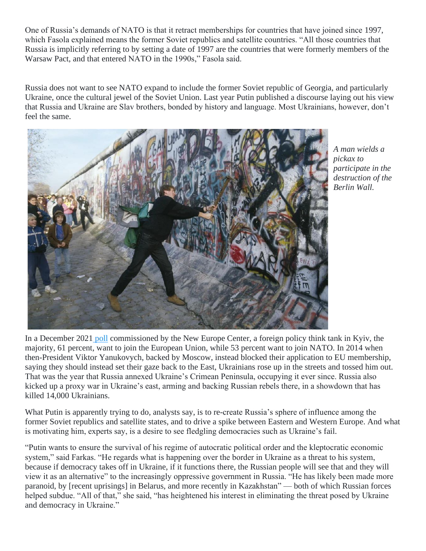One of Russia's demands of NATO is that it retract memberships for countries that have joined since 1997, which Fasola explained means the former Soviet republics and satellite countries. "All those countries that Russia is implicitly referring to by setting a date of 1997 are the countries that were formerly members of the Warsaw Pact, and that entered NATO in the 1990s," Fasola said.

Russia does not want to see NATO expand to include the former Soviet republic of Georgia, and particularly Ukraine, once the cultural jewel of the Soviet Union. Last year Putin published a discourse laying out his view that Russia and Ukraine are Slav brothers, bonded by history and language. Most Ukrainians, however, don't feel the same.



*A man wields a pickax to participate in the destruction of the Berlin Wall.* 

In a December 2021 [poll](http://neweurope.org.ua/wp-content/uploads/2021/12/Diplomatia2022_eng_web.pdf) commissioned by the New Europe Center, a foreign policy think tank in Kyiv, the majority, 61 percent, want to join the European Union, while 53 percent want to join NATO. In 2014 when then-President Viktor Yanukovych, backed by Moscow, instead blocked their application to EU membership, saying they should instead set their gaze back to the East, Ukrainians rose up in the streets and tossed him out. That was the year that Russia annexed Ukraine's Crimean Peninsula, occupying it ever since. Russia also kicked up a proxy war in Ukraine's east, arming and backing Russian rebels there, in a showdown that has killed 14,000 Ukrainians.

What Putin is apparently trying to do, analysts say, is to re-create Russia's sphere of influence among the former Soviet republics and satellite states, and to drive a spike between Eastern and Western Europe. And what is motivating him, experts say, is a desire to see fledgling democracies such as Ukraine's fail.

"Putin wants to ensure the survival of his regime of autocratic political order and the kleptocratic economic system," said Farkas. "He regards what is happening over the border in Ukraine as a threat to his system, because if democracy takes off in Ukraine, if it functions there, the Russian people will see that and they will view it as an alternative" to the increasingly oppressive government in Russia. "He has likely been made more paranoid, by [recent uprisings] in Belarus, and more recently in Kazakhstan" — both of which Russian forces helped subdue. "All of that," she said, "has heightened his interest in eliminating the threat posed by Ukraine and democracy in Ukraine."